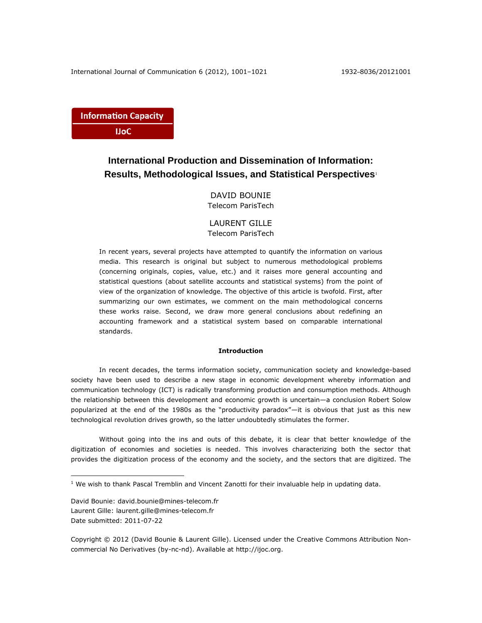**Information Capacity IJoC** 

# **International Production and Dissemination of Information: Results, Methodological Issues, and Statistical Perspectives**<sup>1</sup>

DAVID BOUNIE Telecom ParisTech

# LAURENT GILLE Telecom ParisTech

In recent years, several projects have attempted to quantify the information on various media. This research is original but subject to numerous methodological problems (concerning originals, copies, value, etc.) and it raises more general accounting and statistical questions (about satellite accounts and statistical systems) from the point of view of the organization of knowledge. The objective of this article is twofold. First, after summarizing our own estimates, we comment on the main methodological concerns these works raise. Second, we draw more general conclusions about redefining an accounting framework and a statistical system based on comparable international standards.

## **Introduction**

In recent decades, the terms information society, communication society and knowledge-based society have been used to describe a new stage in economic development whereby information and communication technology (ICT) is radically transforming production and consumption methods. Although the relationship between this development and economic growth is uncertain—a conclusion Robert Solow popularized at the end of the 1980s as the "productivity paradox"—it is obvious that just as this new technological revolution drives growth, so the latter undoubtedly stimulates the former.

Without going into the ins and outs of this debate, it is clear that better knowledge of the digitization of economies and societies is needed. This involves characterizing both the sector that provides the digitization process of the economy and the society, and the sectors that are digitized. The

David Bounie: david.bounie@mines-telecom.fr Laurent Gille: laurent.gille@mines-telecom.fr Date submitted: 2011-07-22

 $\overline{a}$ 

Copyright © 2012 (David Bounie & Laurent Gille). Licensed under the Creative Commons Attribution Noncommercial No Derivatives (by-nc-nd). Available at http://ijoc.org.

 $<sup>1</sup>$  We wish to thank Pascal Tremblin and Vincent Zanotti for their invaluable help in updating data.</sup>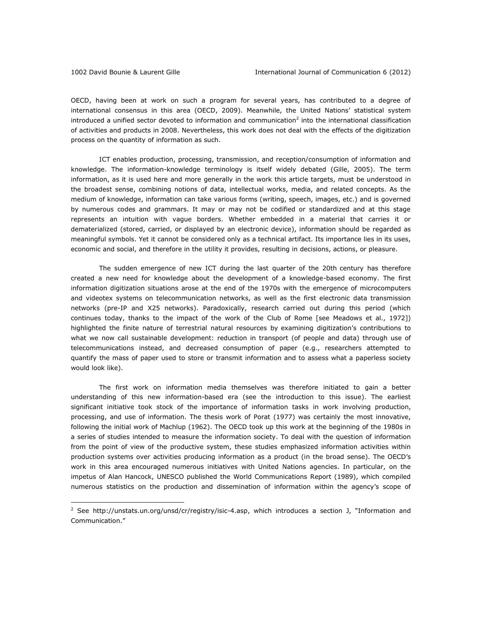OECD, having been at work on such a program for several years, has contributed to a degree of international consensus in this area (OECD, 2009). Meanwhile, the United Nations' statistical system introduced a unified sector devoted to information and communication<sup>2</sup> into the international classification of activities and products in 2008. Nevertheless, this work does not deal with the effects of the digitization process on the quantity of information as such.

ICT enables production, processing, transmission, and reception/consumption of information and knowledge. The information-knowledge terminology is itself widely debated (Gille, 2005). The term information, as it is used here and more generally in the work this article targets, must be understood in the broadest sense, combining notions of data, intellectual works, media, and related concepts. As the medium of knowledge, information can take various forms (writing, speech, images, etc.) and is governed by numerous codes and grammars. It may or may not be codified or standardized and at this stage represents an intuition with vague borders. Whether embedded in a material that carries it or dematerialized (stored, carried, or displayed by an electronic device), information should be regarded as meaningful symbols. Yet it cannot be considered only as a technical artifact. Its importance lies in its uses, economic and social, and therefore in the utility it provides, resulting in decisions, actions, or pleasure.

The sudden emergence of new ICT during the last quarter of the 20th century has therefore created a new need for knowledge about the development of a knowledge-based economy. The first information digitization situations arose at the end of the 1970s with the emergence of microcomputers and videotex systems on telecommunication networks, as well as the first electronic data transmission networks (pre-IP and X25 networks). Paradoxically, research carried out during this period (which continues today, thanks to the impact of the work of the Club of Rome [see Meadows et al., 1972]) highlighted the finite nature of terrestrial natural resources by examining digitization's contributions to what we now call sustainable development: reduction in transport (of people and data) through use of telecommunications instead, and decreased consumption of paper (e.g., researchers attempted to quantify the mass of paper used to store or transmit information and to assess what a paperless society would look like).

The first work on information media themselves was therefore initiated to gain a better understanding of this new information-based era (see the introduction to this issue). The earliest significant initiative took stock of the importance of information tasks in work involving production, processing, and use of information. The thesis work of Porat (1977) was certainly the most innovative, following the initial work of Machlup (1962). The OECD took up this work at the beginning of the 1980s in a series of studies intended to measure the information society. To deal with the question of information from the point of view of the productive system, these studies emphasized information activities within production systems over activities producing information as a product (in the broad sense). The OECD's work in this area encouraged numerous initiatives with United Nations agencies. In particular, on the impetus of Alan Hancock, UNESCO published the World Communications Report (1989), which compiled numerous statistics on the production and dissemination of information within the agency's scope of

<sup>&</sup>lt;sup>2</sup> See<http://unstats.un.org/unsd/cr/registry/isic-4.asp>, which introduces a section J, "Information and Communication."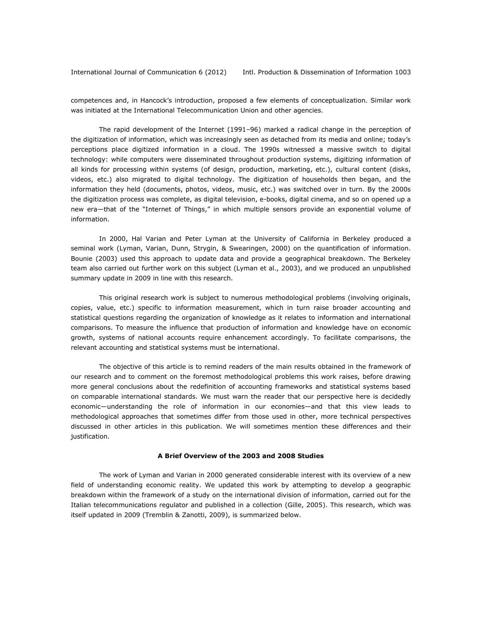competences and, in Hancock's introduction, proposed a few elements of conceptualization. Similar work was initiated at the International Telecommunication Union and other agencies.

The rapid development of the Internet (1991–96) marked a radical change in the perception of the digitization of information, which was increasingly seen as detached from its media and online; today's perceptions place digitized information in a cloud. The 1990s witnessed a massive switch to digital technology: while computers were disseminated throughout production systems, digitizing information of all kinds for processing within systems (of design, production, marketing, etc.), cultural content (disks, videos, etc.) also migrated to digital technology. The digitization of households then began, and the information they held (documents, photos, videos, music, etc.) was switched over in turn. By the 2000s the digitization process was complete, as digital television, e-books, digital cinema, and so on opened up a new era—that of the "Internet of Things," in which multiple sensors provide an exponential volume of information.

In 2000, Hal Varian and Peter Lyman at the University of California in Berkeley produced a seminal work (Lyman, Varian, Dunn, Strygin, & Swearingen, 2000) on the quantification of information. Bounie (2003) used this approach to update data and provide a geographical breakdown. The Berkeley team also carried out further work on this subject (Lyman et al., 2003), and we produced an unpublished summary update in 2009 in line with this research.

This original research work is subject to numerous methodological problems (involving originals, copies, value, etc.) specific to information measurement, which in turn raise broader accounting and statistical questions regarding the organization of knowledge as it relates to information and international comparisons. To measure the influence that production of information and knowledge have on economic growth, systems of national accounts require enhancement accordingly. To facilitate comparisons, the relevant accounting and statistical systems must be international.

The objective of this article is to remind readers of the main results obtained in the framework of our research and to comment on the foremost methodological problems this work raises, before drawing more general conclusions about the redefinition of accounting frameworks and statistical systems based on comparable international standards. We must warn the reader that our perspective here is decidedly economic—understanding the role of information in our economies—and that this view leads to methodological approaches that sometimes differ from those used in other, more technical perspectives discussed in other articles in this publication. We will sometimes mention these differences and their justification.

### **A Brief Overview of the 2003 and 2008 Studies**

The work of Lyman and Varian in 2000 generated considerable interest with its overview of a new field of understanding economic reality. We updated this work by attempting to develop a geographic breakdown within the framework of a study on the international division of information, carried out for the Italian telecommunications regulator and published in a collection (Gille, 2005). This research, which was itself updated in 2009 (Tremblin & Zanotti, 2009), is summarized below.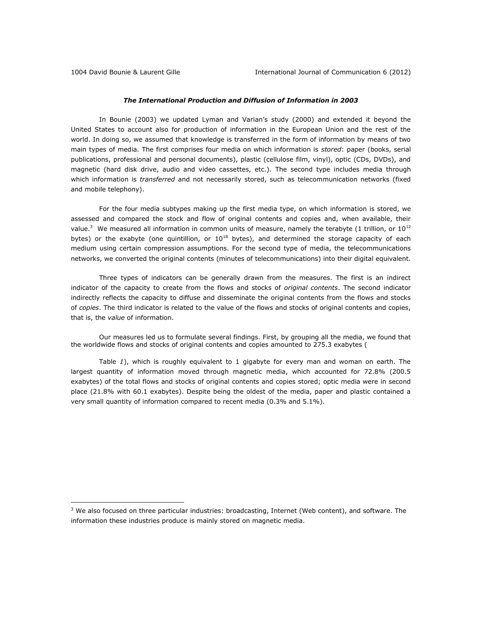### *The International Production and Diffusion of Information in 2003*

In Bounie (2003) we updated Lyman and Varian's study (2000) and extended it beyond the United States to account also for production of information in the European Union and the rest of the world. In doing so, we assumed that knowledge is transferred in the form of information by means of two main types of media. The first comprises four media on which information is *stored*: paper (books, serial publications, professional and personal documents), plastic (cellulose film, vinyl), optic (CDs, DVDs), and magnetic (hard disk drive, audio and video cassettes, etc.). The second type includes media through which information is *transferred* and not necessarily stored, such as telecommunication networks (fixed and mobile telephony).

For the four media subtypes making up the first media type, on which information is stored, we assessed and compared the stock and flow of original contents and copies and, when available, their value.<sup>3</sup> We measured all information in common units of measure, namely the terabyte (1 trillion, or  $10^{12}$ bytes) or the exabyte (one quintillion, or  $10^{18}$  bytes), and determined the storage capacity of each medium using certain compression assumptions. For the second type of media, the telecommunications networks, we converted the original contents (minutes of telecommunications) into their digital equivalent.

Three types of indicators can be generally drawn from the measures. The first is an indirect indicator of the capacity to create from the flows and stocks of *original contents*. The second indicator indirectly reflects the capacity to diffuse and disseminate the original contents from the flows and stocks of *copies*. The third indicator is related to the value of the flows and stocks of original contents and copies, that is, the *value* of information.

Our measures led us to formulate several findings. First, by grouping all the media, we found that the worldwide flows and stocks of original contents and copies amounted to 275.3 exabytes [\(](#page-4-0)

[Table](#page-4-0) *1*), which is roughly equivalent to 1 gigabyte for every man and woman on earth. The largest quantity of information moved through magnetic media, which accounted for 72.8% (200.5 exabytes) of the total flows and stocks of original contents and copies stored; optic media were in second place (21.8% with 60.1 exabytes). Despite being the oldest of the media, paper and plastic contained a very small quantity of information compared to recent media (0.3% and 5.1%).

 $3$  We also focused on three particular industries: broadcasting, Internet (Web content), and software. The information these industries produce is mainly stored on magnetic media.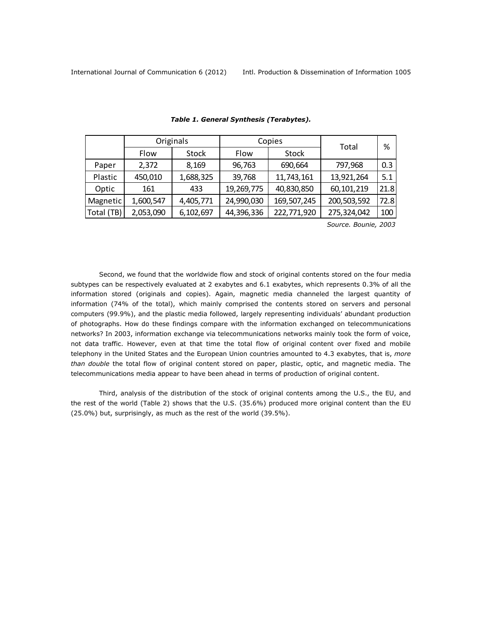<span id="page-4-0"></span>

|            | Originals |              |            | Copies       | Total       | %    |
|------------|-----------|--------------|------------|--------------|-------------|------|
|            | Flow      | <b>Stock</b> | Flow       | <b>Stock</b> |             |      |
| Paper      | 2,372     | 8,169        | 96,763     | 690,664      | 797,968     | 0.3  |
| Plastic    | 450,010   | 1,688,325    | 39,768     | 11,743,161   | 13,921,264  | 5.1  |
| Optic      | 161       | 433          | 19,269,775 | 40,830,850   | 60,101,219  | 21.8 |
| Magnetic   | 1,600,547 | 4,405,771    | 24,990,030 | 169,507,245  | 200,503,592 | 72.8 |
| Total (TB) | 2,053,090 | 6,102,697    | 44,396,336 | 222,771,920  | 275,324,042 | 100  |

#### *Table 1. General Synthesis (Terabytes).*

 *Source. Bounie, 2003*

Second, we found that the worldwide flow and stock of original contents stored on the four media subtypes can be respectively evaluated at 2 exabytes and 6.1 exabytes, which represents 0.3% of all the information stored (originals and copies). Again, magnetic media channeled the largest quantity of information (74% of the total), which mainly comprised the contents stored on servers and personal computers (99.9%), and the plastic media followed, largely representing individuals' abundant production of photographs. How do these findings compare with the information exchanged on telecommunications networks? In 2003, information exchange via telecommunications networks mainly took the form of voice, not data traffic. However, even at that time the total flow of original content over fixed and mobile telephony in the United States and the European Union countries amounted to 4.3 exabytes, that is, *more than double* the total flow of original content stored on paper, plastic, optic, and magnetic media. The telecommunications media appear to have been ahead in terms of production of original content.

Third, analysis of the distribution of the stock of original contents among the U.S., the EU, and the rest of the world (Table 2) shows that the U.S. (35.6%) produced more original content than the EU (25.0%) but, surprisingly, as much as the rest of the world (39.5%).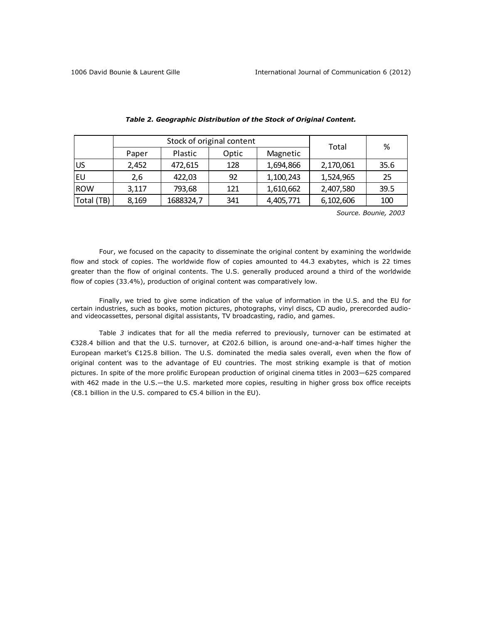|            |       | Stock of original content | Total | %         |           |      |  |
|------------|-------|---------------------------|-------|-----------|-----------|------|--|
|            | Paper | Plastic                   | Optic | Magnetic  |           |      |  |
| US         | 2,452 | 472,615                   | 128   | 1,694,866 | 2,170,061 | 35.6 |  |
| i Eu       | 2,6   | 422,03                    | 92    | 1,100,243 | 1,524,965 | 25   |  |
| <b>ROW</b> | 3,117 | 793,68                    | 121   | 1,610,662 | 2,407,580 | 39.5 |  |
| Total (TB) | 8,169 | 1688324,7                 | 341   | 4,405,771 | 6,102,606 | 100  |  |

#### *Table 2. Geographic Distribution of the Stock of Original Content.*

 *Source. Bounie, 2003*

Four, we focused on the capacity to disseminate the original content by examining the worldwide flow and stock of copies. The worldwide flow of copies amounted to 44.3 exabytes, which is 22 times greater than the flow of original contents. The U.S. generally produced around a third of the worldwide flow of copies (33.4%), production of original content was comparatively low.

Finally, we tried to give some indication of the value of information in the U.S. and the EU for certain industries, such as books, motion pictures, photographs, vinyl discs, CD audio, prerecorded audioand videocassettes, personal digital assistants, TV broadcasting, radio, and games.

[Table](#page-6-0) *3* indicates that for all the media referred to previously, turnover can be estimated at €328.4 billion and that the U.S. turnover, at €202.6 billion, is around one-and-a-half times higher the European market's €125.8 billion. The U.S. dominated the media sales overall, even when the flow of original content was to the advantage of EU countries. The most striking example is that of motion pictures. In spite of the more prolific European production of original cinema titles in 2003—625 compared with 462 made in the U.S.—the U.S. marketed more copies, resulting in higher gross box office receipts (€8.1 billion in the U.S. compared to €5.4 billion in the EU).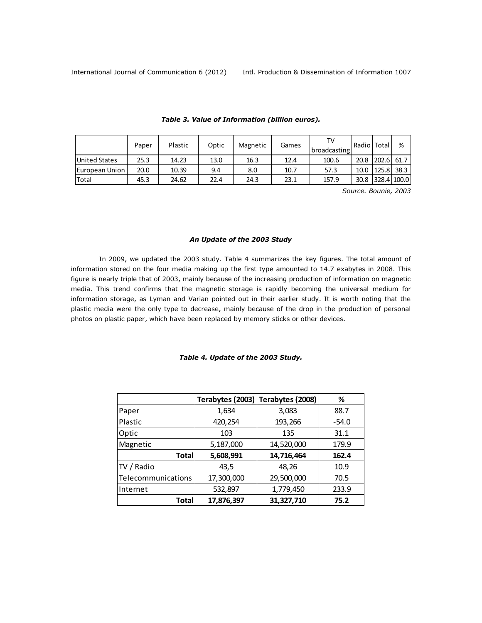<span id="page-6-0"></span>

|                        | Paper | Plastic | Optic | Magnetic | Games | Τ۱.<br>broadcasting | Radio   Total |       | %           |
|------------------------|-------|---------|-------|----------|-------|---------------------|---------------|-------|-------------|
| <b>United States</b>   | 25.3  | 14.23   | 13.0  | 16.3     | 12.4  | 100.6               | 20.8          | 202.6 | 61.7        |
| <b>IEuropean Union</b> | 20.0  | 10.39   | 9.4   | 8.0      | 10.7  | 57.3                | 10.0          | 125.8 | 38.3        |
| Total                  | 45.3  | 24.62   | 22.4  | 24.3     | 23.1  | 157.9               | 30.8          |       | 328.4 100.0 |

### *Table 3. Value of Information (billion euros).*

*Source. Bounie, 2003*

# *An Update of the 2003 Study*

In 2009, we updated the 2003 study. Table 4 summarizes the key figures. The total amount of information stored on the four media making up the first type amounted to 14.7 exabytes in 2008. This figure is nearly triple that of 2003, mainly because of the increasing production of information on magnetic media. This trend confirms that the magnetic storage is rapidly becoming the universal medium for information storage, as Lyman and Varian pointed out in their earlier study. It is worth noting that the plastic media were the only type to decrease, mainly because of the drop in the production of personal photos on plastic paper, which have been replaced by memory sticks or other devices.

# *Table 4. Update of the 2003 Study.*

|                    |            | Terabytes (2003) Terabytes (2008) | ℅       |
|--------------------|------------|-----------------------------------|---------|
| Paper              | 1,634      | 3,083                             | 88.7    |
| Plastic            | 420,254    | 193,266                           | $-54.0$ |
| Optic              | 103        | 135                               | 31.1    |
| Magnetic           | 5,187,000  | 14,520,000                        | 179.9   |
| Total              | 5,608,991  | 14,716,464                        | 162.4   |
| TV / Radio         | 43,5       | 48,26                             | 10.9    |
| Telecommunications | 17,300,000 | 29,500,000                        | 70.5    |
| Internet           | 532,897    | 1,779,450                         | 233.9   |
| Total              | 17,876,397 | 31,327,710                        | 75.2    |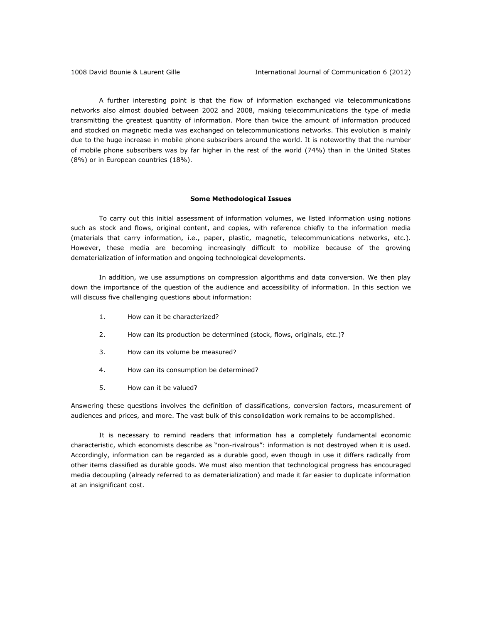A further interesting point is that the flow of information exchanged via telecommunications networks also almost doubled between 2002 and 2008, making telecommunications the type of media transmitting the greatest quantity of information. More than twice the amount of information produced and stocked on magnetic media was exchanged on telecommunications networks. This evolution is mainly due to the huge increase in mobile phone subscribers around the world. It is noteworthy that the number of mobile phone subscribers was by far higher in the rest of the world (74%) than in the United States (8%) or in European countries (18%).

### **Some Methodological Issues**

To carry out this initial assessment of information volumes, we listed information using notions such as stock and flows, original content, and copies, with reference chiefly to the information media (materials that carry information, i.e., paper, plastic, magnetic, telecommunications networks, etc.). However, these media are becoming increasingly difficult to mobilize because of the growing dematerialization of information and ongoing technological developments.

In addition, we use assumptions on compression algorithms and data conversion. We then play down the importance of the question of the audience and accessibility of information. In this section we will discuss five challenging questions about information:

- 1. How can it be characterized?
- 2. How can its production be determined (stock, flows, originals, etc.)?
- 3. How can its volume be measured?
- 4. How can its consumption be determined?
- 5. How can it be valued?

Answering these questions involves the definition of classifications, conversion factors, measurement of audiences and prices, and more. The vast bulk of this consolidation work remains to be accomplished.

It is necessary to remind readers that information has a completely fundamental economic characteristic, which economists describe as "non-rivalrous": information is not destroyed when it is used. Accordingly, information can be regarded as a durable good, even though in use it differs radically from other items classified as durable goods. We must also mention that technological progress has encouraged media decoupling (already referred to as dematerialization) and made it far easier to duplicate information at an insignificant cost.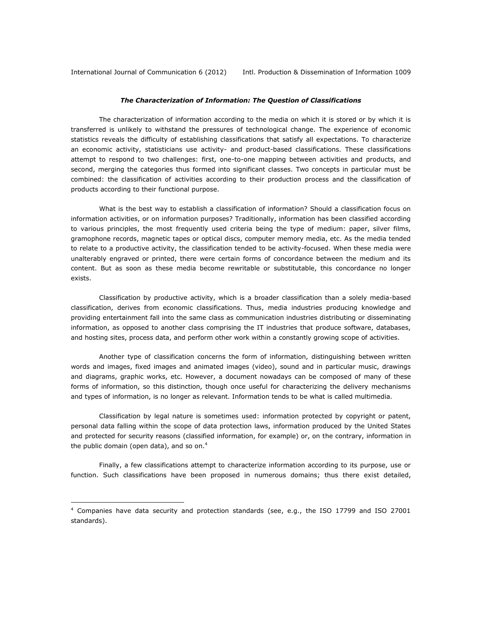International Journal of Communication 6 (2012) Intl. Production & Dissemination of Information 1009

### *The Characterization of Information: The Question of Classifications*

The characterization of information according to the media on which it is stored or by which it is transferred is unlikely to withstand the pressures of technological change. The experience of economic statistics reveals the difficulty of establishing classifications that satisfy all expectations. To characterize an economic activity, statisticians use activity- and product-based classifications. These classifications attempt to respond to two challenges: first, one-to-one mapping between activities and products, and second, merging the categories thus formed into significant classes. Two concepts in particular must be combined: the classification of activities according to their production process and the classification of products according to their functional purpose.

What is the best way to establish a classification of information? Should a classification focus on information activities, or on information purposes? Traditionally, information has been classified according to various principles, the most frequently used criteria being the type of medium: paper, silver films, gramophone records, magnetic tapes or optical discs, computer memory media, etc. As the media tended to relate to a productive activity, the classification tended to be activity-focused. When these media were unalterably engraved or printed, there were certain forms of concordance between the medium and its content. But as soon as these media become rewritable or substitutable, this concordance no longer exists.

Classification by productive activity, which is a broader classification than a solely media-based classification, derives from economic classifications. Thus, media industries producing knowledge and providing entertainment fall into the same class as communication industries distributing or disseminating information, as opposed to another class comprising the IT industries that produce software, databases, and hosting sites, process data, and perform other work within a constantly growing scope of activities.

Another type of classification concerns the form of information, distinguishing between written words and images, fixed images and animated images (video), sound and in particular music, drawings and diagrams, graphic works, etc. However, a document nowadays can be composed of many of these forms of information, so this distinction, though once useful for characterizing the delivery mechanisms and types of information, is no longer as relevant. Information tends to be what is called multimedia.

Classification by legal nature is sometimes used: information protected by copyright or patent, personal data falling within the scope of data protection laws, information produced by the United States and protected for security reasons (classified information, for example) or, on the contrary, information in the public domain (open data), and so on. $4$ 

Finally, a few classifications attempt to characterize information according to its purpose, use or function. Such classifications have been proposed in numerous domains; thus there exist detailed,

 $\overline{a}$ 

<sup>4</sup> Companies have data security and protection standards (see, e.g., the ISO 17799 and ISO 27001 standards).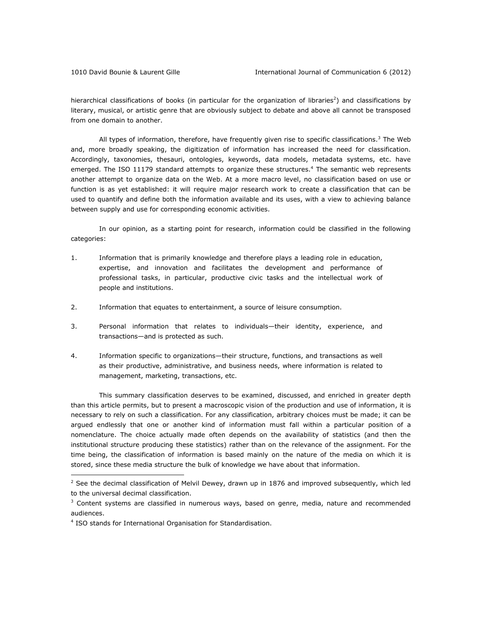hierarchical classifications of books (in particular for the organization of libraries<sup>2</sup>) and classifications by literary, musical, or artistic genre that are obviously subject to debate and above all cannot be transposed from one domain to another.

All types of information, therefore, have frequently given rise to specific classifications.<sup>3</sup> The Web and, more broadly speaking, the digitization of information has increased the need for classification. Accordingly, taxonomies, thesauri, ontologies, keywords, data models, metadata systems, etc. have emerged. The ISO 11179 standard attempts to organize these structures.<sup>4</sup> The semantic web represents another attempt to organize data on the Web. At a more macro level, no classification based on use or function is as yet established: it will require major research work to create a classification that can be used to quantify and define both the information available and its uses, with a view to achieving balance between supply and use for corresponding economic activities.

In our opinion, as a starting point for research, information could be classified in the following categories:

- 1. Information that is primarily knowledge and therefore plays a leading role in education, expertise, and innovation and facilitates the development and performance of professional tasks, in particular, productive civic tasks and the intellectual work of people and institutions.
- 2. Information that equates to entertainment, a source of leisure consumption.
- 3. Personal information that relates to individuals—their identity, experience, and transactions—and is protected as such.
- 4. Information specific to organizations—their structure, functions, and transactions as well as their productive, administrative, and business needs, where information is related to management, marketing, transactions, etc.

This summary classification deserves to be examined, discussed, and enriched in greater depth than this article permits, but to present a macroscopic vision of the production and use of information, it is necessary to rely on such a classification. For any classification, arbitrary choices must be made; it can be argued endlessly that one or another kind of information must fall within a particular position of a nomenclature. The choice actually made often depends on the availability of statistics (and then the institutional structure producing these statistics) rather than on the relevance of the assignment. For the time being, the classification of information is based mainly on the nature of the media on which it is stored, since these media structure the bulk of knowledge we have about that information.

 $\overline{a}$ 

 $<sup>2</sup>$  See the decimal classification of Melvil Dewey, drawn up in 1876 and improved subsequently, which led</sup> to the universal decimal classification.

 $3$  Content systems are classified in numerous ways, based on genre, media, nature and recommended audiences.

<sup>&</sup>lt;sup>4</sup> ISO stands for International Organisation for Standardisation.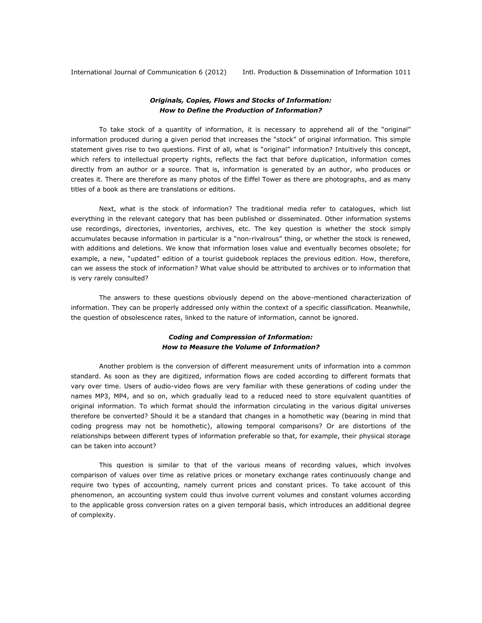International Journal of Communication 6 (2012) Intl. Production & Dissemination of Information 1011

# *Originals, Copies, Flows and Stocks of Information: How to Define the Production of Information?*

To take stock of a quantity of information, it is necessary to apprehend all of the "original" information produced during a given period that increases the "stock" of original information. This simple statement gives rise to two questions. First of all, what is "original" information? Intuitively this concept, which refers to intellectual property rights, reflects the fact that before duplication, information comes directly from an author or a source. That is, information is generated by an author, who produces or creates it. There are therefore as many photos of the Eiffel Tower as there are photographs, and as many titles of a book as there are translations or editions.

Next, what is the stock of information? The traditional media refer to catalogues, which list everything in the relevant category that has been published or disseminated. Other information systems use recordings, directories, inventories, archives, etc. The key question is whether the stock simply accumulates because information in particular is a "non-rivalrous" thing, or whether the stock is renewed, with additions and deletions. We know that information loses value and eventually becomes obsolete; for example, a new, "updated" edition of a tourist guidebook replaces the previous edition. How, therefore, can we assess the stock of information? What value should be attributed to archives or to information that is very rarely consulted?

The answers to these questions obviously depend on the above-mentioned characterization of information. They can be properly addressed only within the context of a specific classification. Meanwhile, the question of obsolescence rates, linked to the nature of information, cannot be ignored.

# *Coding and Compression of Information: How to Measure the Volume of Information?*

Another problem is the conversion of different measurement units of information into a common standard. As soon as they are digitized, information flows are coded according to different formats that vary over time. Users of audio-video flows are very familiar with these generations of coding under the names MP3, MP4, and so on, which gradually lead to a reduced need to store equivalent quantities of original information. To which format should the information circulating in the various digital universes therefore be converted? Should it be a standard that changes in a homothetic way (bearing in mind that coding progress may not be homothetic), allowing temporal comparisons? Or are distortions of the relationships between different types of information preferable so that, for example, their physical storage can be taken into account?

This question is similar to that of the various means of recording values, which involves comparison of values over time as relative prices or monetary exchange rates continuously change and require two types of accounting, namely current prices and constant prices. To take account of this phenomenon, an accounting system could thus involve current volumes and constant volumes according to the applicable gross conversion rates on a given temporal basis, which introduces an additional degree of complexity.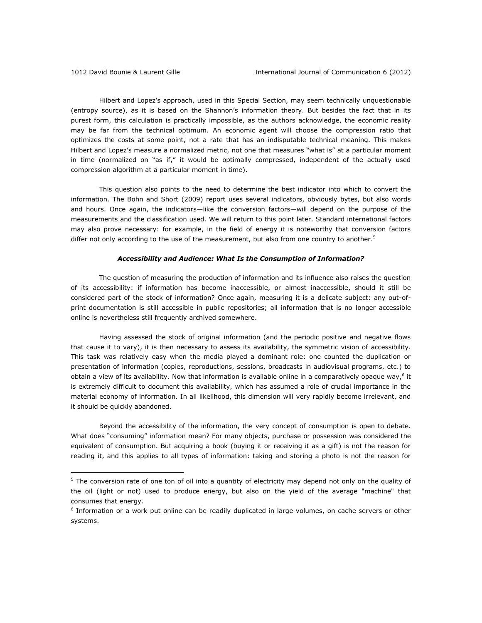Hilbert and Lopez's approach, used in this Special Section, may seem technically unquestionable (entropy source), as it is based on the Shannon's information theory. But besides the fact that in its purest form, this calculation is practically impossible, as the authors acknowledge, the economic reality may be far from the technical optimum. An economic agent will choose the compression ratio that optimizes the costs at some point, not a rate that has an indisputable technical meaning. This makes Hilbert and Lopez's measure a normalized metric, not one that measures "what is" at a particular moment in time (normalized on "as if," it would be optimally compressed, independent of the actually used compression algorithm at a particular moment in time).

This question also points to the need to determine the best indicator into which to convert the information. The Bohn and Short (2009) report uses several indicators, obviously bytes, but also words and hours. Once again, the indicators—like the conversion factors—will depend on the purpose of the measurements and the classification used. We will return to this point later. Standard international factors may also prove necessary: for example, in the field of energy it is noteworthy that conversion factors differ not only according to the use of the measurement, but also from one country to another.<sup>5</sup>

## *Accessibility and Audience: What Is the Consumption of Information?*

The question of measuring the production of information and its influence also raises the question of its accessibility: if information has become inaccessible, or almost inaccessible, should it still be considered part of the stock of information? Once again, measuring it is a delicate subject: any out-ofprint documentation is still accessible in public repositories; all information that is no longer accessible online is nevertheless still frequently archived somewhere.

Having assessed the stock of original information (and the periodic positive and negative flows that cause it to vary), it is then necessary to assess its availability, the symmetric vision of accessibility. This task was relatively easy when the media played a dominant role: one counted the duplication or presentation of information (copies, reproductions, sessions, broadcasts in audiovisual programs, etc.) to obtain a view of its availability. Now that information is available online in a comparatively opaque way,  $6$  it is extremely difficult to document this availability, which has assumed a role of crucial importance in the material economy of information. In all likelihood, this dimension will very rapidly become irrelevant, and it should be quickly abandoned.

Beyond the accessibility of the information, the very concept of consumption is open to debate. What does "consuming" information mean? For many objects, purchase or possession was considered the equivalent of consumption. But acquiring a book (buying it or receiving it as a gift) is not the reason for reading it, and this applies to all types of information: taking and storing a photo is not the reason for

<sup>&</sup>lt;sup>5</sup> The conversion rate of one ton of oil into a quantity of electricity may depend not only on the quality of the oil (light or not) used to produce energy, but also on the yield of the average "machine" that consumes that energy.

<sup>&</sup>lt;sup>6</sup> Information or a work put online can be readily duplicated in large volumes, on cache servers or other systems.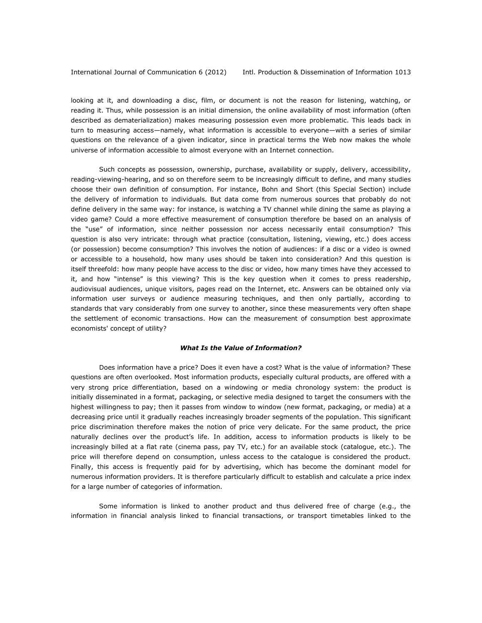looking at it, and downloading a disc, film, or document is not the reason for listening, watching, or reading it. Thus, while possession is an initial dimension, the online availability of most information (often described as dematerialization) makes measuring possession even more problematic. This leads back in turn to measuring access—namely, what information is accessible to everyone—with a series of similar questions on the relevance of a given indicator, since in practical terms the Web now makes the whole universe of information accessible to almost everyone with an Internet connection.

Such concepts as possession, ownership, purchase, availability or supply, delivery, accessibility, reading-viewing-hearing, and so on therefore seem to be increasingly difficult to define, and many studies choose their own definition of consumption. For instance, Bohn and Short (this Special Section) include the delivery of information to individuals. But data come from numerous sources that probably do not define delivery in the same way: for instance, is watching a TV channel while dining the same as playing a video game? Could a more effective measurement of consumption therefore be based on an analysis of the "use" of information, since neither possession nor access necessarily entail consumption? This question is also very intricate: through what practice (consultation, listening, viewing, etc.) does access (or possession) become consumption? This involves the notion of audiences: if a disc or a video is owned or accessible to a household, how many uses should be taken into consideration? And this question is itself threefold: how many people have access to the disc or video, how many times have they accessed to it, and how "intense" is this viewing? This is the key question when it comes to press readership, audiovisual audiences, unique visitors, pages read on the Internet, etc. Answers can be obtained only via information user surveys or audience measuring techniques, and then only partially, according to standards that vary considerably from one survey to another, since these measurements very often shape the settlement of economic transactions. How can the measurement of consumption best approximate economists' concept of utility?

#### *What Is the Value of Information?*

Does information have a price? Does it even have a cost? What is the value of information? These questions are often overlooked. Most information products, especially cultural products, are offered with a very strong price differentiation, based on a windowing or media chronology system: the product is initially disseminated in a format, packaging, or selective media designed to target the consumers with the highest willingness to pay; then it passes from window to window (new format, packaging, or media) at a decreasing price until it gradually reaches increasingly broader segments of the population. This significant price discrimination therefore makes the notion of price very delicate. For the same product, the price naturally declines over the product's life. In addition, access to information products is likely to be increasingly billed at a flat rate (cinema pass, pay TV, etc.) for an available stock (catalogue, etc.). The price will therefore depend on consumption, unless access to the catalogue is considered the product. Finally, this access is frequently paid for by advertising, which has become the dominant model for numerous information providers. It is therefore particularly difficult to establish and calculate a price index for a large number of categories of information.

Some information is linked to another product and thus delivered free of charge (e.g., the information in financial analysis linked to financial transactions, or transport timetables linked to the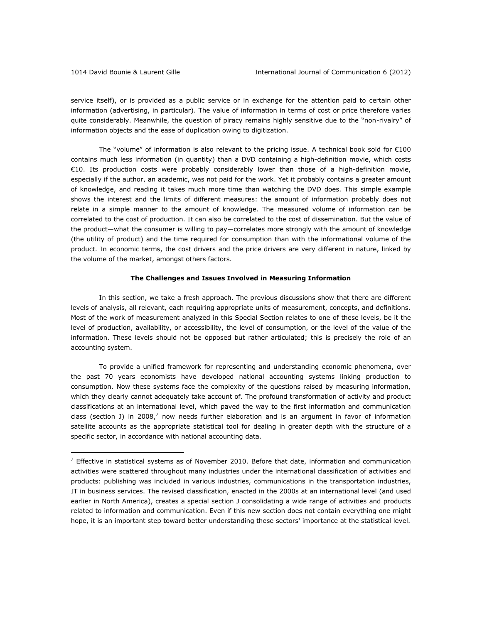service itself), or is provided as a public service or in exchange for the attention paid to certain other information (advertising, in particular). The value of information in terms of cost or price therefore varies quite considerably. Meanwhile, the question of piracy remains highly sensitive due to the "non-rivalry" of information objects and the ease of duplication owing to digitization.

The "volume" of information is also relevant to the pricing issue. A technical book sold for  $E100$ contains much less information (in quantity) than a DVD containing a high-definition movie, which costs €10. Its production costs were probably considerably lower than those of a high-definition movie, especially if the author, an academic, was not paid for the work. Yet it probably contains a greater amount of knowledge, and reading it takes much more time than watching the DVD does. This simple example shows the interest and the limits of different measures: the amount of information probably does not relate in a simple manner to the amount of knowledge. The measured volume of information can be correlated to the cost of production. It can also be correlated to the cost of dissemination. But the value of the product—what the consumer is willing to pay—correlates more strongly with the amount of knowledge (the utility of product) and the time required for consumption than with the informational volume of the product. In economic terms, the cost drivers and the price drivers are very different in nature, linked by the volume of the market, amongst others factors.

### **The Challenges and Issues Involved in Measuring Information**

In this section, we take a fresh approach. The previous discussions show that there are different levels of analysis, all relevant, each requiring appropriate units of measurement, concepts, and definitions. Most of the work of measurement analyzed in this Special Section relates to one of these levels, be it the level of production, availability, or accessibility, the level of consumption, or the level of the value of the information. These levels should not be opposed but rather articulated; this is precisely the role of an accounting system.

To provide a unified framework for representing and understanding economic phenomena, over the past 70 years economists have developed national accounting systems linking production to consumption. Now these systems face the complexity of the questions raised by measuring information, which they clearly cannot adequately take account of. The profound transformation of activity and product classifications at an international level, which paved the way to the first information and communication class (section J) in 2008,<sup>7</sup> now needs further elaboration and is an argument in favor of information satellite accounts as the appropriate statistical tool for dealing in greater depth with the structure of a specific sector, in accordance with national accounting data.

 $<sup>7</sup>$  Effective in statistical systems as of November 2010. Before that date, information and communication</sup> activities were scattered throughout many industries under the international classification of activities and products: publishing was included in various industries, communications in the transportation industries, IT in business services. The revised classification, enacted in the 2000s at an international level (and used earlier in North America), creates a special section J consolidating a wide range of activities and products related to information and communication. Even if this new section does not contain everything one might hope, it is an important step toward better understanding these sectors' importance at the statistical level.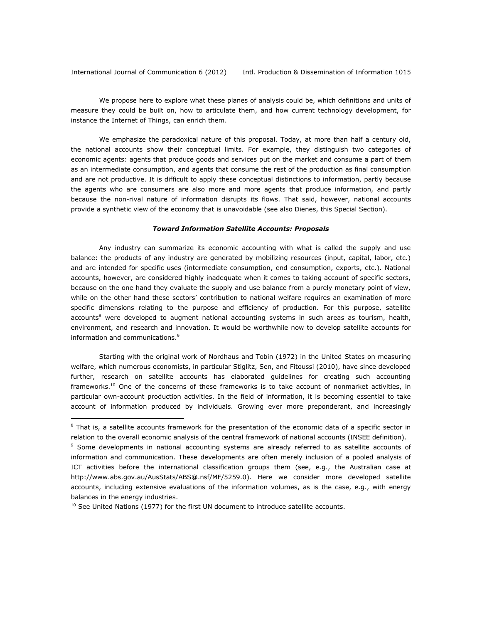International Journal of Communication 6 (2012) Intl. Production & Dissemination of Information 1015

We propose here to explore what these planes of analysis could be, which definitions and units of measure they could be built on, how to articulate them, and how current technology development, for instance the Internet of Things, can enrich them.

We emphasize the paradoxical nature of this proposal. Today, at more than half a century old, the national accounts show their conceptual limits. For example, they distinguish two categories of economic agents: agents that produce goods and services put on the market and consume a part of them as an intermediate consumption, and agents that consume the rest of the production as final consumption and are not productive. It is difficult to apply these conceptual distinctions to information, partly because the agents who are consumers are also more and more agents that produce information, and partly because the non-rival nature of information disrupts its flows. That said, however, national accounts provide a synthetic view of the economy that is unavoidable (see also Dienes, this Special Section).

### *Toward Information Satellite Accounts: Proposals*

Any industry can summarize its economic accounting with what is called the supply and use balance: the products of any industry are generated by mobilizing resources (input, capital, labor, etc.) and are intended for specific uses (intermediate consumption, end consumption, exports, etc.). National accounts, however, are considered highly inadequate when it comes to taking account of specific sectors, because on the one hand they evaluate the supply and use balance from a purely monetary point of view, while on the other hand these sectors' contribution to national welfare requires an examination of more specific dimensions relating to the purpose and efficiency of production. For this purpose, satellite accounts<sup>8</sup> were developed to augment national accounting systems in such areas as tourism, health, environment, and research and innovation. It would be worthwhile now to develop satellite accounts for information and communications.<sup>9</sup>

Starting with the original work of Nordhaus and Tobin (1972) in the United States on measuring welfare, which numerous economists, in particular Stiglitz, Sen, and Fitoussi (2010), have since developed further, research on satellite accounts has elaborated guidelines for creating such accounting frameworks.<sup>10</sup> One of the concerns of these frameworks is to take account of nonmarket activities, in particular own-account production activities. In the field of information, it is becoming essential to take account of information produced by individuals. Growing ever more preponderant, and increasingly

 $\overline{a}$ 

<sup>&</sup>lt;sup>8</sup> That is, a satellite accounts framework for the presentation of the economic data of a specific sector in relation to the overall economic analysis of the central framework of national accounts (INSEE definition).

<sup>&</sup>lt;sup>9</sup> Some developments in national accounting systems are already referred to as satellite accounts of information and communication. These developments are often merely inclusion of a pooled analysis of ICT activities before the international classification groups them (see, e.g., the Australian case at http://www.abs.gov.au/AusStats/ABS@.nsf/MF/5259.0). Here we consider more developed satellite accounts, including extensive evaluations of the information volumes, as is the case, e.g., with energy balances in the energy industries.

 $10$  See United Nations (1977) for the first UN document to introduce satellite accounts.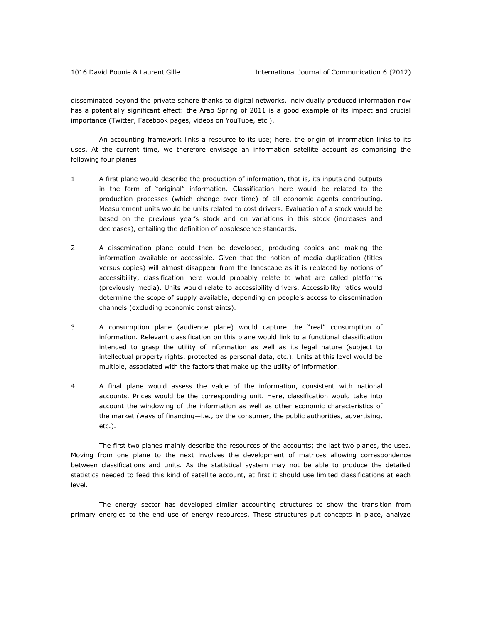disseminated beyond the private sphere thanks to digital networks, individually produced information now has a potentially significant effect: the Arab Spring of 2011 is a good example of its impact and crucial importance (Twitter, Facebook pages, videos on YouTube, etc.).

An accounting framework links a resource to its use; here, the origin of information links to its uses. At the current time, we therefore envisage an information satellite account as comprising the following four planes:

- 1. A first plane would describe the production of information, that is, its inputs and outputs in the form of "original" information. Classification here would be related to the production processes (which change over time) of all economic agents contributing. Measurement units would be units related to cost drivers. Evaluation of a stock would be based on the previous year's stock and on variations in this stock (increases and decreases), entailing the definition of obsolescence standards.
- 2. A dissemination plane could then be developed, producing copies and making the information available or accessible. Given that the notion of media duplication (titles versus copies) will almost disappear from the landscape as it is replaced by notions of accessibility, classification here would probably relate to what are called platforms (previously media). Units would relate to accessibility drivers. Accessibility ratios would determine the scope of supply available, depending on people's access to dissemination channels (excluding economic constraints).
- 3. A consumption plane (audience plane) would capture the "real" consumption of information. Relevant classification on this plane would link to a functional classification intended to grasp the utility of information as well as its legal nature (subject to intellectual property rights, protected as personal data, etc.). Units at this level would be multiple, associated with the factors that make up the utility of information.
- 4. A final plane would assess the value of the information, consistent with national accounts. Prices would be the corresponding unit. Here, classification would take into account the windowing of the information as well as other economic characteristics of the market (ways of financing—i.e., by the consumer, the public authorities, advertising, etc.).

The first two planes mainly describe the resources of the accounts; the last two planes, the uses. Moving from one plane to the next involves the development of matrices allowing correspondence between classifications and units. As the statistical system may not be able to produce the detailed statistics needed to feed this kind of satellite account, at first it should use limited classifications at each level.

The energy sector has developed similar accounting structures to show the transition from primary energies to the end use of energy resources. These structures put concepts in place, analyze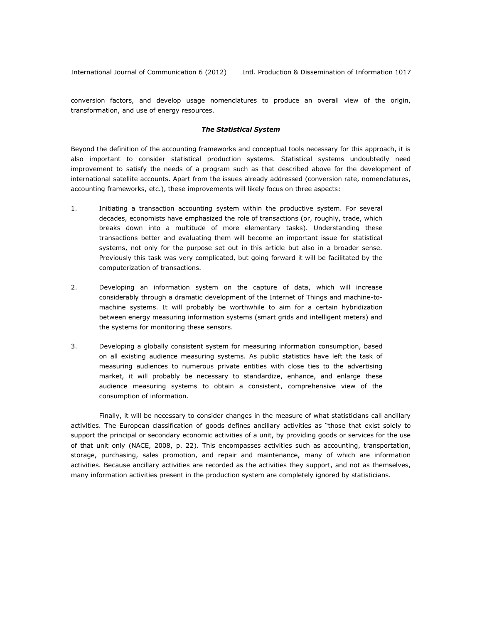conversion factors, and develop usage nomenclatures to produce an overall view of the origin, transformation, and use of energy resources.

### *The Statistical System*

Beyond the definition of the accounting frameworks and conceptual tools necessary for this approach, it is also important to consider statistical production systems. Statistical systems undoubtedly need improvement to satisfy the needs of a program such as that described above for the development of international satellite accounts. Apart from the issues already addressed (conversion rate, nomenclatures, accounting frameworks, etc.), these improvements will likely focus on three aspects:

- 1. Initiating a transaction accounting system within the productive system. For several decades, economists have emphasized the role of transactions (or, roughly, trade, which breaks down into a multitude of more elementary tasks). Understanding these transactions better and evaluating them will become an important issue for statistical systems, not only for the purpose set out in this article but also in a broader sense. Previously this task was very complicated, but going forward it will be facilitated by the computerization of transactions.
- 2. Developing an information system on the capture of data, which will increase considerably through a dramatic development of the Internet of Things and machine-tomachine systems. It will probably be worthwhile to aim for a certain hybridization between energy measuring information systems (smart grids and intelligent meters) and the systems for monitoring these sensors.
- 3. Developing a globally consistent system for measuring information consumption, based on all existing audience measuring systems. As public statistics have left the task of measuring audiences to numerous private entities with close ties to the advertising market, it will probably be necessary to standardize, enhance, and enlarge these audience measuring systems to obtain a consistent, comprehensive view of the consumption of information.

Finally, it will be necessary to consider changes in the measure of what statisticians call ancillary activities. The European classification of goods defines ancillary activities as "those that exist solely to support the principal or secondary economic activities of a unit, by providing goods or services for the use of that unit only (NACE, 2008, p. 22). This encompasses activities such as accounting, transportation, storage, purchasing, sales promotion, and repair and maintenance, many of which are information activities. Because ancillary activities are recorded as the activities they support, and not as themselves, many information activities present in the production system are completely ignored by statisticians.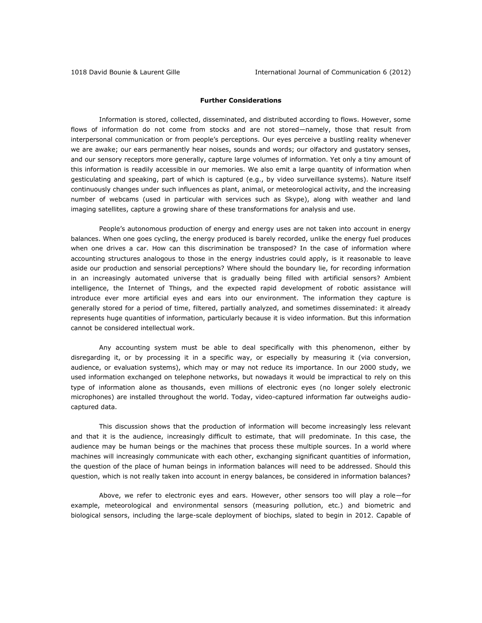### **Further Considerations**

Information is stored, collected, disseminated, and distributed according to flows. However, some flows of information do not come from stocks and are not stored—namely, those that result from interpersonal communication or from people's perceptions. Our eyes perceive a bustling reality whenever we are awake; our ears permanently hear noises, sounds and words; our olfactory and gustatory senses, and our sensory receptors more generally, capture large volumes of information. Yet only a tiny amount of this information is readily accessible in our memories. We also emit a large quantity of information when gesticulating and speaking, part of which is captured (e.g., by video surveillance systems). Nature itself continuously changes under such influences as plant, animal, or meteorological activity, and the increasing number of webcams (used in particular with services such as Skype), along with weather and land imaging satellites, capture a growing share of these transformations for analysis and use.

People's autonomous production of energy and energy uses are not taken into account in energy balances. When one goes cycling, the energy produced is barely recorded, unlike the energy fuel produces when one drives a car. How can this discrimination be transposed? In the case of information where accounting structures analogous to those in the energy industries could apply, is it reasonable to leave aside our production and sensorial perceptions? Where should the boundary lie, for recording information in an increasingly automated universe that is gradually being filled with artificial sensors? Ambient intelligence, the Internet of Things, and the expected rapid development of robotic assistance will introduce ever more artificial eyes and ears into our environment. The information they capture is generally stored for a period of time, filtered, partially analyzed, and sometimes disseminated: it already represents huge quantities of information, particularly because it is video information. But this information cannot be considered intellectual work.

Any accounting system must be able to deal specifically with this phenomenon, either by disregarding it, or by processing it in a specific way, or especially by measuring it (via conversion, audience, or evaluation systems), which may or may not reduce its importance. In our 2000 study, we used information exchanged on telephone networks, but nowadays it would be impractical to rely on this type of information alone as thousands, even millions of electronic eyes (no longer solely electronic microphones) are installed throughout the world. Today, video-captured information far outweighs audiocaptured data.

This discussion shows that the production of information will become increasingly less relevant and that it is the audience, increasingly difficult to estimate, that will predominate. In this case, the audience may be human beings or the machines that process these multiple sources. In a world where machines will increasingly communicate with each other, exchanging significant quantities of information, the question of the place of human beings in information balances will need to be addressed. Should this question, which is not really taken into account in energy balances, be considered in information balances?

Above, we refer to electronic eyes and ears. However, other sensors too will play a role—for example, meteorological and environmental sensors (measuring pollution, etc.) and biometric and biological sensors, including the large-scale deployment of biochips, slated to begin in 2012. Capable of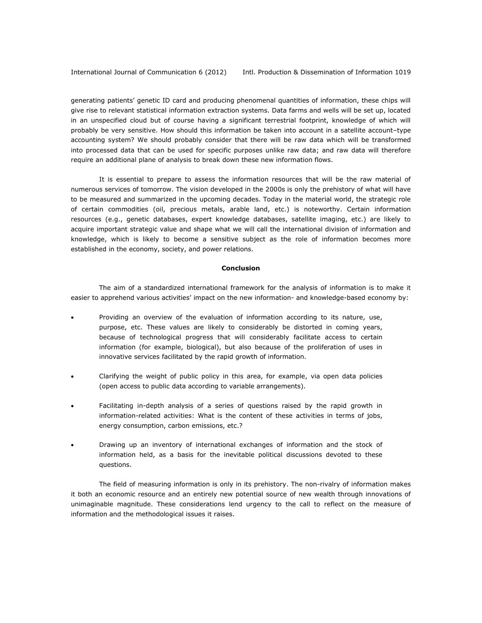generating patients' genetic ID card and producing phenomenal quantities of information, these chips will give rise to relevant statistical information extraction systems. Data farms and wells will be set up, located in an unspecified cloud but of course having a significant terrestrial footprint, knowledge of which will probably be very sensitive. How should this information be taken into account in a satellite account–type accounting system? We should probably consider that there will be raw data which will be transformed into processed data that can be used for specific purposes unlike raw data; and raw data will therefore require an additional plane of analysis to break down these new information flows.

It is essential to prepare to assess the information resources that will be the raw material of numerous services of tomorrow. The vision developed in the 2000s is only the prehistory of what will have to be measured and summarized in the upcoming decades. Today in the material world, the strategic role of certain commodities (oil, precious metals, arable land, etc.) is noteworthy. Certain information resources (e.g., genetic databases, expert knowledge databases, satellite imaging, etc.) are likely to acquire important strategic value and shape what we will call the international division of information and knowledge, which is likely to become a sensitive subject as the role of information becomes more established in the economy, society, and power relations.

## **Conclusion**

The aim of a standardized international framework for the analysis of information is to make it easier to apprehend various activities' impact on the new information- and knowledge-based economy by:

- Providing an overview of the evaluation of information according to its nature, use, purpose, etc. These values are likely to considerably be distorted in coming years, because of technological progress that will considerably facilitate access to certain information (for example, biological), but also because of the proliferation of uses in innovative services facilitated by the rapid growth of information.
- Clarifying the weight of public policy in this area, for example, via open data policies (open access to public data according to variable arrangements).
- Facilitating in-depth analysis of a series of questions raised by the rapid growth in information-related activities: What is the content of these activities in terms of jobs, energy consumption, carbon emissions, etc.?
- Drawing up an inventory of international exchanges of information and the stock of information held, as a basis for the inevitable political discussions devoted to these questions.

The field of measuring information is only in its prehistory. The non-rivalry of information makes it both an economic resource and an entirely new potential source of new wealth through innovations of unimaginable magnitude. These considerations lend urgency to the call to reflect on the measure of information and the methodological issues it raises.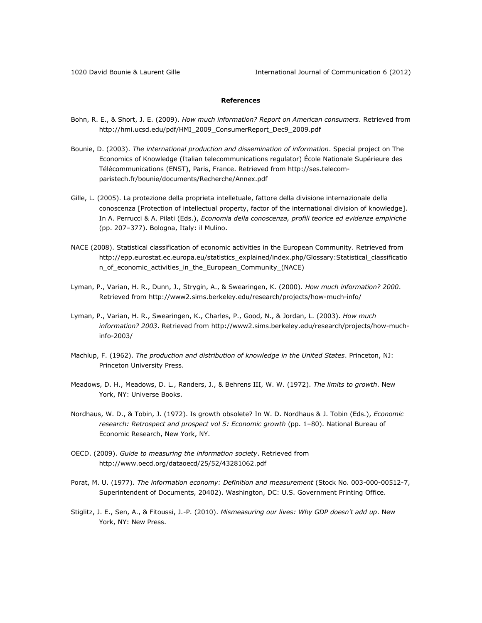# **References**

- Bohn, R. E., & Short, J. E. (2009). *How much information? Report on American consumers*. Retrieved from [http://hmi.ucsd.edu/pdf/HMI\\_2009\\_ConsumerReport\\_Dec9\\_2009.pdf](http://hmi.ucsd.edu/pdf/HMI_2009_ConsumerReport_Dec9_2009.pdf)
- Bounie, D. (2003). *The international production and dissemination of information*. Special project on The Economics of Knowledge (Italian telecommunications regulator) École Nationale Supérieure des Télécommunications (ENST), Paris, France. Retrieved fro[m http://ses.telecom](http://ses.telecom-paristech.fr/bounie/documents/Recherche/Annex.pdf)[paristech.fr/bounie/documents/Recherche/Annex.pdf](http://ses.telecom-paristech.fr/bounie/documents/Recherche/Annex.pdf)
- Gille, L. (2005). La protezione della proprieta intelletuale, fattore della divisione internazionale della conoscenza [Protection of intellectual property, factor of the international division of knowledge]. In A. Perrucci & A. Pilati (Eds.), *[Economia della conoscenza,](http://www.mulino.it/edizioni/volumi/scheda_volume.php?vista=scheda&ISBNART=10281-7) profili teorice ed evidenze empiriche*  (pp. 207–377). Bologna, Italy: il Mulino.
- NACE (2008). Statistical classification of economic activities in the European Community. Retrieved from [http://epp.eurostat.ec.europa.eu/statistics\\_explained/index.php/Glossary:Statistical\\_classificatio](http://epp.eurostat.ec.europa.eu/statistics_explained/index.php/Glossary:Statistical_classification_of_economic_activities_in_the_European_Community_(NACE)) [n\\_of\\_economic\\_activities\\_in\\_the\\_European\\_Community\\_\(NACE\)](http://epp.eurostat.ec.europa.eu/statistics_explained/index.php/Glossary:Statistical_classification_of_economic_activities_in_the_European_Community_(NACE))
- Lyman, P., Varian, H. R., Dunn, J., Strygin, A., & Swearingen, K. (2000). *How much information? 2000*. Retrieved from<http://www2.sims.berkeley.edu/research/projects/how-much-info/>
- Lyman, P., Varian, H. R., Swearingen, K., Charles, P., Good, N., & Jordan, L. (2003). *How much information? 2003*. Retrieved from [http://www2.sims.berkeley.edu/research/projects/how-much](http://www2.sims.berkeley.edu/research/projects/how-much-info-2003/)[info-2003/](http://www2.sims.berkeley.edu/research/projects/how-much-info-2003/)
- Machlup, F. (1962). *The production and distribution of knowledge in the United States*. Princeton, NJ: Princeton University Press.
- Meadows, D. H., Meadows, D. L., Randers, J., & Behrens III, W. W. (1972). *The limits to growth*. New York, NY: Universe Books.
- Nordhaus, W. D., & Tobin, J. (1972). Is growth obsolete? In W. D. Nordhaus & J. Tobin (Eds.), *Economic research: Retrospect and prospect vol 5: Economic growth* (pp. 1–80). National Bureau of Economic Research, New York, NY.
- OECD. (2009). *Guide to measuring the information society*. Retrieved from <http://www.oecd.org/dataoecd/25/52/43281062.pdf>
- Porat, M. U. (1977). *The information economy: Definition and measurement* (Stock No. 003-000-00512-7, Superintendent of Documents, 20402). Washington, DC: U.S. Government Printing Office.
- Stiglitz, J. E., Sen, A., & Fitoussi, J.-P. (2010). *Mismeasuring our lives: Why GDP doesn't add up*. New York, NY: New Press.